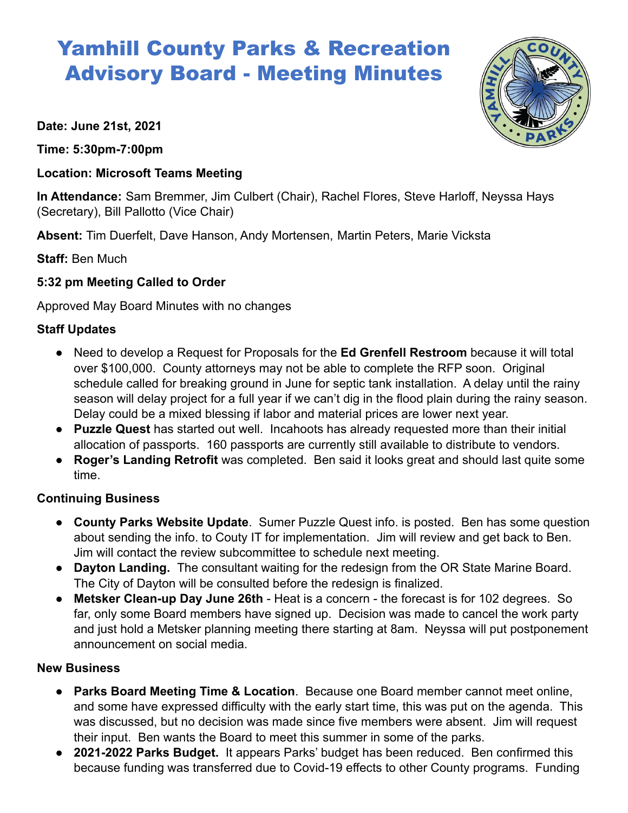# Yamhill County Parks & Recreation Advisory Board - Meeting Minutes

**Date: June 21st, 2021**

**Time: 5:30pm-7:00pm**

## **Location: Microsoft Teams Meeting**

**In Attendance:** Sam Bremmer, Jim Culbert (Chair), Rachel Flores, Steve Harloff, Neyssa Hays (Secretary), Bill Pallotto (Vice Chair)

**Absent:** Tim Duerfelt, Dave Hanson, Andy Mortensen, Martin Peters, Marie Vicksta

**Staff:** Ben Much

## **5:32 pm Meeting Called to Order**

Approved May Board Minutes with no changes

## **Staff Updates**

- Need to develop a Request for Proposals for the **Ed Grenfell Restroom** because it will total over \$100,000. County attorneys may not be able to complete the RFP soon. Original schedule called for breaking ground in June for septic tank installation. A delay until the rainy season will delay project for a full year if we can't dig in the flood plain during the rainy season. Delay could be a mixed blessing if labor and material prices are lower next year.
- **Puzzle Quest** has started out well. Incahoots has already requested more than their initial allocation of passports. 160 passports are currently still available to distribute to vendors.
- **Roger's Landing Retrofit** was completed. Ben said it looks great and should last quite some time.

### **Continuing Business**

- **County Parks Website Update**. Sumer Puzzle Quest info. is posted. Ben has some question about sending the info. to Couty IT for implementation. Jim will review and get back to Ben. Jim will contact the review subcommittee to schedule next meeting.
- **Dayton Landing.** The consultant waiting for the redesign from the OR State Marine Board. The City of Dayton will be consulted before the redesign is finalized.
- **Metsker Clean-up Day June 26th** Heat is a concern the forecast is for 102 degrees. So far, only some Board members have signed up. Decision was made to cancel the work party and just hold a Metsker planning meeting there starting at 8am. Neyssa will put postponement announcement on social media.

### **New Business**

- **Parks Board Meeting Time & Location**. Because one Board member cannot meet online, and some have expressed difficulty with the early start time, this was put on the agenda. This was discussed, but no decision was made since five members were absent. Jim will request their input. Ben wants the Board to meet this summer in some of the parks.
- **● 2021-2022 Parks Budget.** It appears Parks' budget has been reduced. Ben confirmed this because funding was transferred due to Covid-19 effects to other County programs. Funding